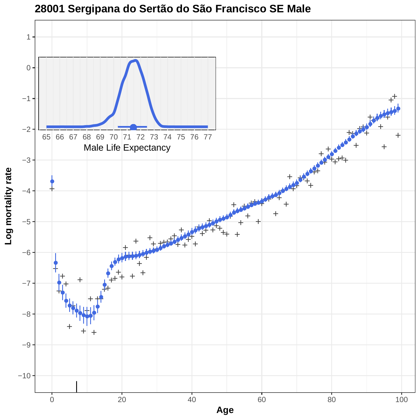

**28001 Sergipana do Sertão do São Francisco SE Male**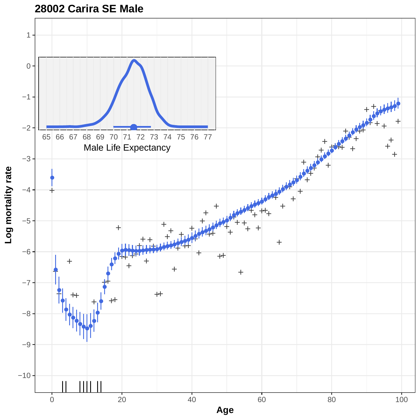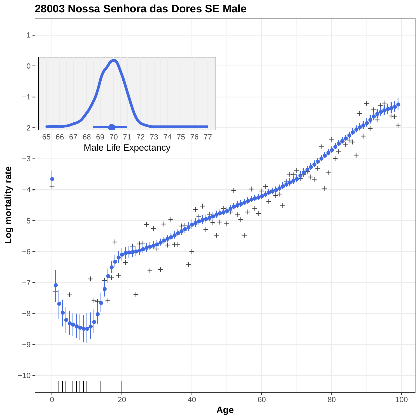

### **28003 Nossa Senhora das Dores SE Male**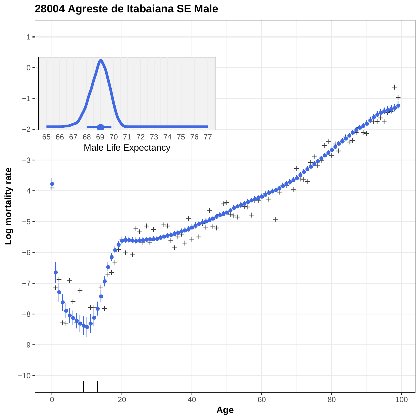

## **28004 Agreste de Itabaiana SE Male**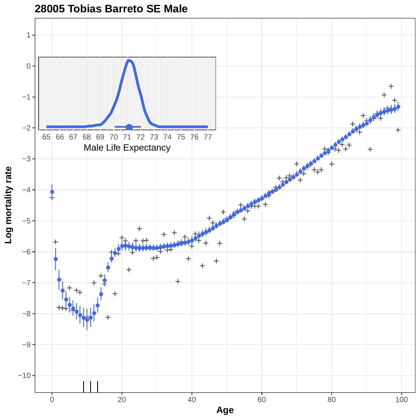

**28005 Tobias Barreto SE Male**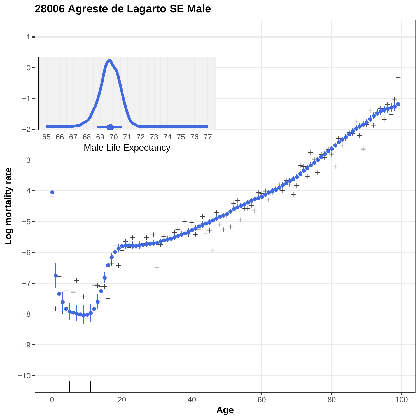

## **28006 Agreste de Lagarto SE Male**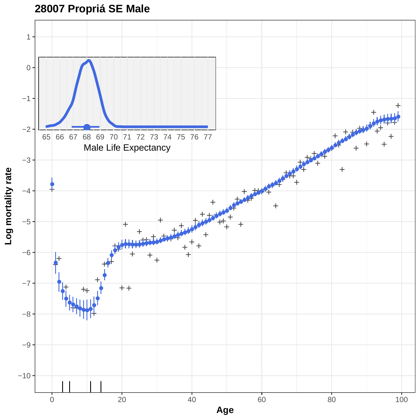# **28007 Propriá SE Male**

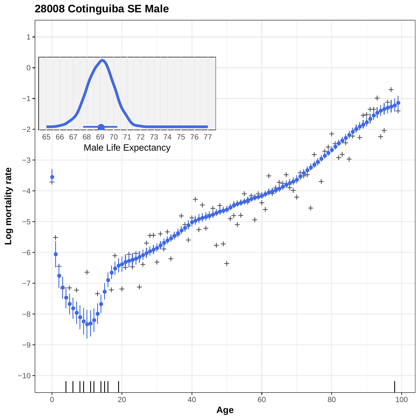# **28008 Cotinguiba SE Male**

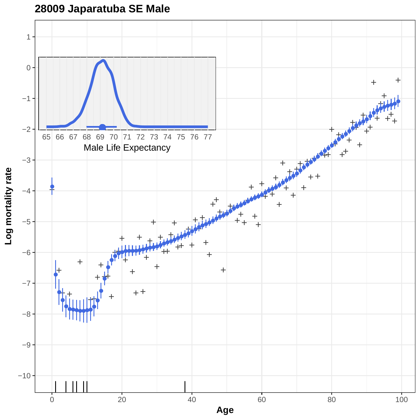**28009 Japaratuba SE Male**

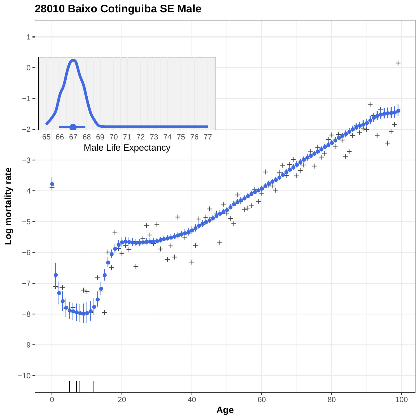

## **28010 Baixo Cotinguiba SE Male**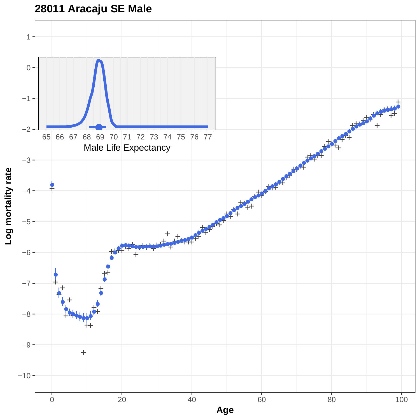

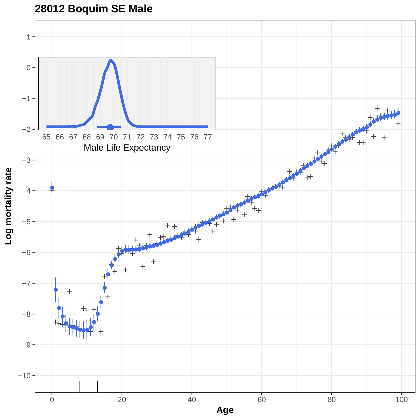